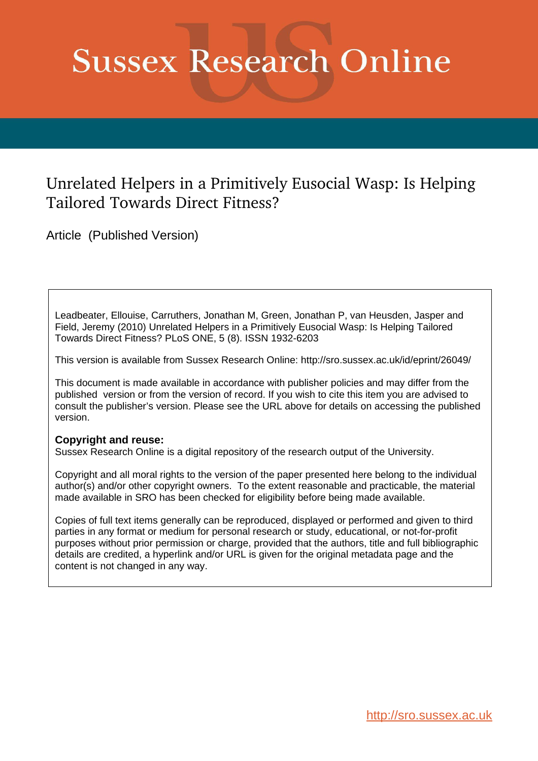# **Sussex Research Online**

## Unrelated Helpers in a Primitively Eusocial Wasp: Is Helping Tailored Towards Direct Fitness?

Article (Published Version)

Leadbeater, Ellouise, Carruthers, Jonathan M, Green, Jonathan P, van Heusden, Jasper and Field, Jeremy (2010) Unrelated Helpers in a Primitively Eusocial Wasp: Is Helping Tailored Towards Direct Fitness? PLoS ONE, 5 (8). ISSN 1932-6203

This version is available from Sussex Research Online: http://sro.sussex.ac.uk/id/eprint/26049/

This document is made available in accordance with publisher policies and may differ from the published version or from the version of record. If you wish to cite this item you are advised to consult the publisher's version. Please see the URL above for details on accessing the published version.

## **Copyright and reuse:**

Sussex Research Online is a digital repository of the research output of the University.

Copyright and all moral rights to the version of the paper presented here belong to the individual author(s) and/or other copyright owners. To the extent reasonable and practicable, the material made available in SRO has been checked for eligibility before being made available.

Copies of full text items generally can be reproduced, displayed or performed and given to third parties in any format or medium for personal research or study, educational, or not-for-profit purposes without prior permission or charge, provided that the authors, title and full bibliographic details are credited, a hyperlink and/or URL is given for the original metadata page and the content is not changed in any way.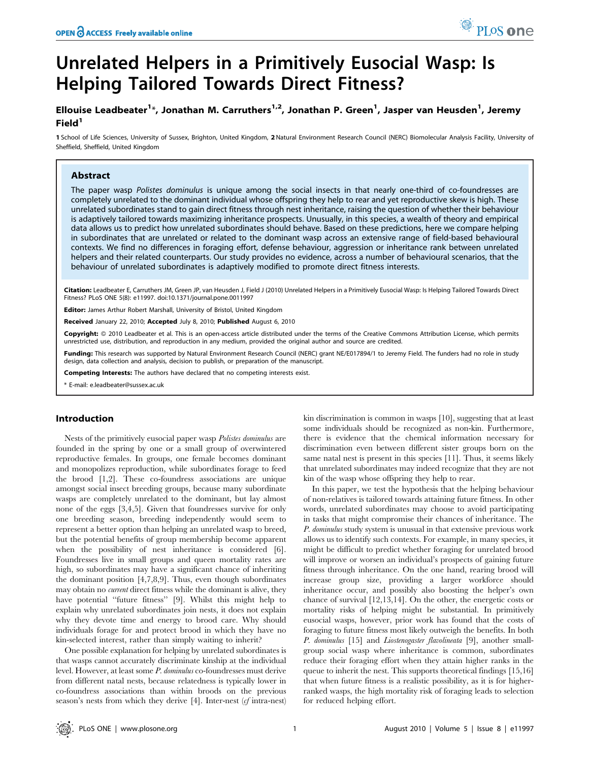# Unrelated Helpers in a Primitively Eusocial Wasp: Is Helping Tailored Towards Direct Fitness?

### Ellouise Leadbeater<sup>1</sup>\*, Jonathan M. Carruthers<sup>1,2</sup>, Jonathan P. Green<sup>1</sup>, Jasper van Heusden<sup>1</sup>, Jeremy  $Fi$ eld<sup>1</sup>

1 School of Life Sciences, University of Sussex, Brighton, United Kingdom, 2 Natural Environment Research Council (NERC) Biomolecular Analysis Facility, University of Sheffield, Sheffield, United Kingdom

#### Abstract

The paper wasp Polistes dominulus is unique among the social insects in that nearly one-third of co-foundresses are completely unrelated to the dominant individual whose offspring they help to rear and yet reproductive skew is high. These unrelated subordinates stand to gain direct fitness through nest inheritance, raising the question of whether their behaviour is adaptively tailored towards maximizing inheritance prospects. Unusually, in this species, a wealth of theory and empirical data allows us to predict how unrelated subordinates should behave. Based on these predictions, here we compare helping in subordinates that are unrelated or related to the dominant wasp across an extensive range of field-based behavioural contexts. We find no differences in foraging effort, defense behaviour, aggression or inheritance rank between unrelated helpers and their related counterparts. Our study provides no evidence, across a number of behavioural scenarios, that the behaviour of unrelated subordinates is adaptively modified to promote direct fitness interests.

Citation: Leadbeater E, Carruthers JM, Green JP, van Heusden J, Field J (2010) Unrelated Helpers in a Primitively Eusocial Wasp: Is Helping Tailored Towards Direct Fitness? PLoS ONE 5(8): e11997. doi:10.1371/journal.pone.0011997

Editor: James Arthur Robert Marshall, University of Bristol, United Kingdom

Received January 22, 2010; Accepted July 8, 2010; Published August 6, 2010

**Copyright:** © 2010 Leadbeater et al. This is an open-access article distributed under the terms of the Creative Commons Attribution License, which permits unrestricted use, distribution, and reproduction in any medium, provided the original author and source are credited.

Funding: This research was supported by Natural Environment Research Council (NERC) grant NE/E017894/1 to Jeremy Field. The funders had no role in study design, data collection and analysis, decision to publish, or preparation of the manuscript.

Competing Interests: The authors have declared that no competing interests exist.

\* E-mail: e.leadbeater@sussex.ac.uk

#### Introduction

Nests of the primitively eusocial paper wasp Polistes dominulus are founded in the spring by one or a small group of overwintered reproductive females. In groups, one female becomes dominant and monopolizes reproduction, while subordinates forage to feed the brood [1,2]. These co-foundress associations are unique amongst social insect breeding groups, because many subordinate wasps are completely unrelated to the dominant, but lay almost none of the eggs [3,4,5]. Given that foundresses survive for only one breeding season, breeding independently would seem to represent a better option than helping an unrelated wasp to breed, but the potential benefits of group membership become apparent when the possibility of nest inheritance is considered [6]. Foundresses live in small groups and queen mortality rates are high, so subordinates may have a significant chance of inheriting the dominant position [4,7,8,9]. Thus, even though subordinates may obtain no *current* direct fitness while the dominant is alive, they have potential "future fitness" [9]. Whilst this might help to explain why unrelated subordinates join nests, it does not explain why they devote time and energy to brood care. Why should individuals forage for and protect brood in which they have no kin-selected interest, rather than simply waiting to inherit?

One possible explanation for helping by unrelated subordinates is that wasps cannot accurately discriminate kinship at the individual level. However, at least some P. dominulus co-foundresses must derive from different natal nests, because relatedness is typically lower in co-foundress associations than within broods on the previous season's nests from which they derive  $[4]$ . Inter-nest (cf intra-nest) kin discrimination is common in wasps [10], suggesting that at least some individuals should be recognized as non-kin. Furthermore, there is evidence that the chemical information necessary for discrimination even between different sister groups born on the same natal nest is present in this species [11]. Thus, it seems likely that unrelated subordinates may indeed recognize that they are not kin of the wasp whose offspring they help to rear.

In this paper, we test the hypothesis that the helping behaviour of non-relatives is tailored towards attaining future fitness. In other words, unrelated subordinates may choose to avoid participating in tasks that might compromise their chances of inheritance. The P. dominulus study system is unusual in that extensive previous work allows us to identify such contexts. For example, in many species, it might be difficult to predict whether foraging for unrelated brood will improve or worsen an individual's prospects of gaining future fitness through inheritance. On the one hand, rearing brood will increase group size, providing a larger workforce should inheritance occur, and possibly also boosting the helper's own chance of survival [12,13,14]. On the other, the energetic costs or mortality risks of helping might be substantial. In primitively eusocial wasps, however, prior work has found that the costs of foraging to future fitness most likely outweigh the benefits. In both P. dominulus [15] and Liostenogaster flavolineata [9], another smallgroup social wasp where inheritance is common, subordinates reduce their foraging effort when they attain higher ranks in the queue to inherit the nest. This supports theoretical findings [15,16] that when future fitness is a realistic possibility, as it is for higherranked wasps, the high mortality risk of foraging leads to selection for reduced helping effort.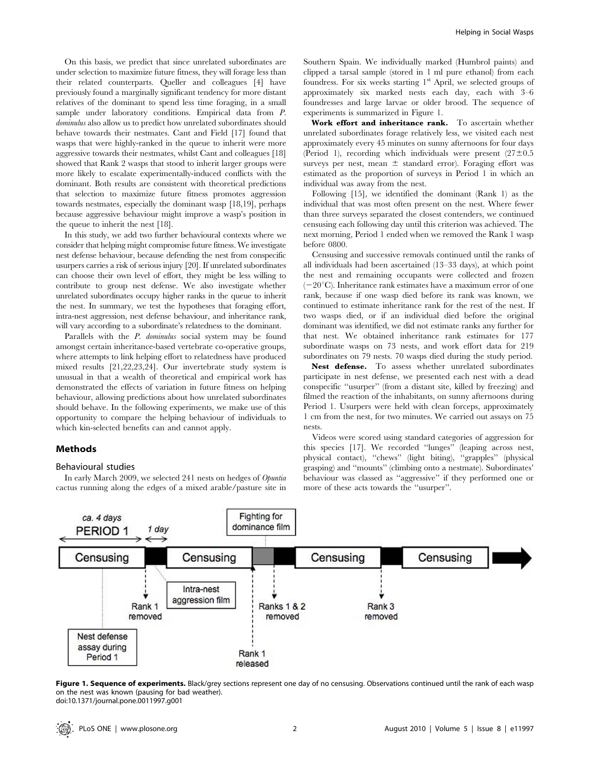On this basis, we predict that since unrelated subordinates are under selection to maximize future fitness, they will forage less than their related counterparts. Queller and colleagues [4] have previously found a marginally significant tendency for more distant relatives of the dominant to spend less time foraging, in a small sample under laboratory conditions. Empirical data from P. dominulus also allow us to predict how unrelated subordinates should behave towards their nestmates. Cant and Field [17] found that wasps that were highly-ranked in the queue to inherit were more aggressive towards their nestmates, whilst Cant and colleagues [18] showed that Rank 2 wasps that stood to inherit larger groups were more likely to escalate experimentally-induced conflicts with the dominant. Both results are consistent with theoretical predictions that selection to maximize future fitness promotes aggression towards nestmates, especially the dominant wasp [18,19], perhaps because aggressive behaviour might improve a wasp's position in the queue to inherit the nest [18].

In this study, we add two further behavioural contexts where we consider that helping might compromise future fitness. We investigate nest defense behaviour, because defending the nest from conspecific usurpers carries a risk of serious injury [20]. If unrelated subordinates can choose their own level of effort, they might be less willing to contribute to group nest defense. We also investigate whether unrelated subordinates occupy higher ranks in the queue to inherit the nest. In summary, we test the hypotheses that foraging effort, intra-nest aggression, nest defense behaviour, and inheritance rank, will vary according to a subordinate's relatedness to the dominant.

Parallels with the P. dominulus social system may be found amongst certain inheritance-based vertebrate co-operative groups, where attempts to link helping effort to relatedness have produced mixed results [21,22,23,24]. Our invertebrate study system is unusual in that a wealth of theoretical and empirical work has demonstrated the effects of variation in future fitness on helping behaviour, allowing predictions about how unrelated subordinates should behave. In the following experiments, we make use of this opportunity to compare the helping behaviour of individuals to which kin-selected benefits can and cannot apply.

#### Methods

#### Behavioural studies

In early March 2009, we selected 241 nests on hedges of Opuntia cactus running along the edges of a mixed arable/pasture site in Southern Spain. We individually marked (Humbrol paints) and clipped a tarsal sample (stored in 1 ml pure ethanol) from each foundress. For six weeks starting  $1<sup>st</sup>$  April, we selected groups of approximately six marked nests each day, each with 3–6 foundresses and large larvae or older brood. The sequence of experiments is summarized in Figure 1.

Work effort and inheritance rank. To ascertain whether unrelated subordinates forage relatively less, we visited each nest approximately every 45 minutes on sunny afternoons for four days (Period 1), recording which individuals were present  $(27\pm0.5$ surveys per nest, mean  $\pm$  standard error). Foraging effort was estimated as the proportion of surveys in Period 1 in which an individual was away from the nest.

Following [15], we identified the dominant (Rank 1) as the individual that was most often present on the nest. Where fewer than three surveys separated the closest contenders, we continued censusing each following day until this criterion was achieved. The next morning, Period 1 ended when we removed the Rank 1 wasp before 0800.

Censusing and successive removals continued until the ranks of all individuals had been ascertained (13–33 days), at which point the nest and remaining occupants were collected and frozen  $(-20^{\circ}C)$ . Inheritance rank estimates have a maximum error of one rank, because if one wasp died before its rank was known, we continued to estimate inheritance rank for the rest of the nest. If two wasps died, or if an individual died before the original dominant was identified, we did not estimate ranks any further for that nest. We obtained inheritance rank estimates for 177 subordinate wasps on 73 nests, and work effort data for 219 subordinates on 79 nests. 70 wasps died during the study period.

Nest defense. To assess whether unrelated subordinates participate in nest defense, we presented each nest with a dead conspecific ''usurper'' (from a distant site, killed by freezing) and filmed the reaction of the inhabitants, on sunny afternoons during Period 1. Usurpers were held with clean forceps, approximately 1 cm from the nest, for two minutes. We carried out assays on 75 nests.

Videos were scored using standard categories of aggression for this species [17]. We recorded ''lunges'' (leaping across nest, physical contact), ''chews'' (light biting), ''grapples'' (physical grasping) and ''mounts'' (climbing onto a nestmate). Subordinates' behaviour was classed as ''aggressive'' if they performed one or more of these acts towards the ''usurper''.



Figure 1. Sequence of experiments. Black/grey sections represent one day of no censusing. Observations continued until the rank of each wasp on the nest was known (pausing for bad weather). doi:10.1371/journal.pone.0011997.g001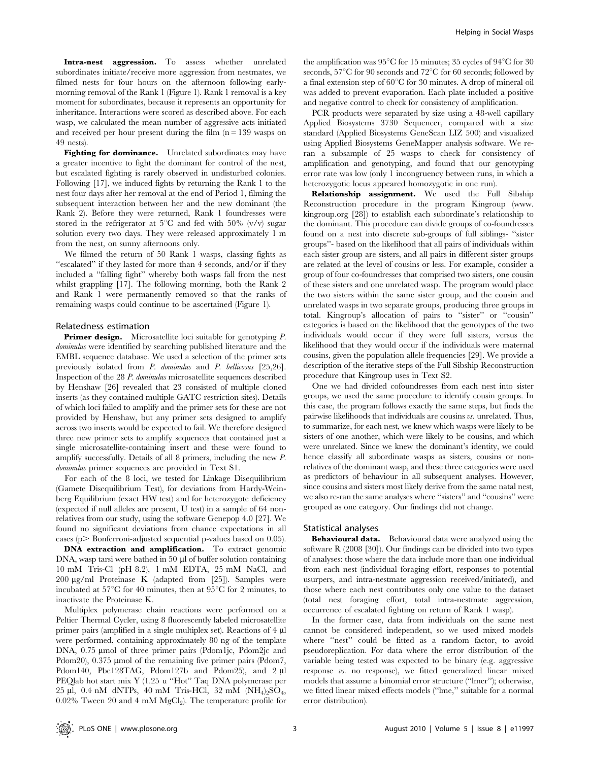Intra-nest aggression. To assess whether unrelated subordinates initiate/receive more aggression from nestmates, we filmed nests for four hours on the afternoon following earlymorning removal of the Rank 1 (Figure 1). Rank 1 removal is a key moment for subordinates, because it represents an opportunity for inheritance. Interactions were scored as described above. For each wasp, we calculated the mean number of aggressive acts initiated and received per hour present during the film  $(n = 139)$  wasps on 49 nests).

Fighting for dominance. Unrelated subordinates may have a greater incentive to fight the dominant for control of the nest, but escalated fighting is rarely observed in undisturbed colonies. Following [17], we induced fights by returning the Rank 1 to the nest four days after her removal at the end of Period 1, filming the subsequent interaction between her and the new dominant (the Rank 2). Before they were returned, Rank 1 foundresses were stored in the refrigerator at  $5^{\circ}$ C and fed with  $50\%$  (v/v) sugar solution every two days. They were released approximately 1 m from the nest, on sunny afternoons only.

We filmed the return of 50 Rank 1 wasps, classing fights as ''escalated'' if they lasted for more than 4 seconds, and/or if they included a ''falling fight'' whereby both wasps fall from the nest whilst grappling [17]. The following morning, both the Rank 2 and Rank 1 were permanently removed so that the ranks of remaining wasps could continue to be ascertained (Figure 1).

#### Relatedness estimation

**Primer design.** Microsatellite loci suitable for genotyping P. dominulus were identified by searching published literature and the EMBL sequence database. We used a selection of the primer sets previously isolated from *P. dominulus* and *P. bellicosus* [25,26]. Inspection of the 28 P. dominulus microsatellite sequences described by Henshaw [26] revealed that 23 consisted of multiple cloned inserts (as they contained multiple GATC restriction sites). Details of which loci failed to amplify and the primer sets for these are not provided by Henshaw, but any primer sets designed to amplify across two inserts would be expected to fail. We therefore designed three new primer sets to amplify sequences that contained just a single microsatellite-containing insert and these were found to amplify successfully. Details of all 8 primers, including the new P. dominulus primer sequences are provided in Text S1.

For each of the 8 loci, we tested for Linkage Disequilibrium (Gamete Disequilibrium Test), for deviations from Hardy-Weinberg Equilibrium (exact HW test) and for heterozygote deficiency (expected if null alleles are present, U test) in a sample of 64 nonrelatives from our study, using the software Genepop 4.0 [27]. We found no significant deviations from chance expectations in all cases ( $p$  Bonferroni-adjusted sequential p-values based on 0.05).

DNA extraction and amplification. To extract genomic  $DNA$ , wasp tarsi were bathed in 50  $\mu$ l of buffer solution containing 10 mM Tris-Cl (pH 8.2), 1 mM EDTA, 25 mM NaCl, and 200  $\mu$ g/ml Proteinase K (adapted from [25]). Samples were incubated at  $57^{\circ}$ C for 40 minutes, then at  $95^{\circ}$ C for 2 minutes, to inactivate the Proteinase K.

Multiplex polymerase chain reactions were performed on a Peltier Thermal Cycler, using 8 fluorescently labeled microsatellite primer pairs (amplified in a single multiplex set). Reactions of 4 ml were performed, containing approximately 80 ng of the template DNA, 0.75 µmol of three primer pairs (Pdom1jc, Pdom2jc and Pdom20), 0.375 µmol of the remaining five primer pairs (Pdom7, Pdom140, Pbe128TAG, Pdom127b and Pdom25), and 2 µl PEQlab hot start mix Y (1.25 u ''Hot'' Taq DNA polymerase per 25 µl, 0.4 nM dNTPs, 40 mM Tris-HCl, 32 mM  $(NH_4)_2SO_4$ , 0.02% Tween 20 and 4 mM  $MgCl<sub>2</sub>$ ). The temperature profile for

the amplification was  $95^{\circ}$ C for 15 minutes; 35 cycles of  $94^{\circ}$ C for 30 seconds,  $57^{\circ}$ C for 90 seconds and  $72^{\circ}$ C for 60 seconds; followed by a final extension step of  $60^{\circ}$ C for 30 minutes. A drop of mineral oil was added to prevent evaporation. Each plate included a positive and negative control to check for consistency of amplification.

PCR products were separated by size using a 48-well capillary Applied Biosystems 3730 Sequencer, compared with a size standard (Applied Biosystems GeneScan LIZ 500) and visualized using Applied Biosystems GeneMapper analysis software. We reran a subsample of 25 wasps to check for consistency of amplification and genotyping, and found that our genotyping error rate was low (only 1 incongruency between runs, in which a heterozygotic locus appeared homozygotic in one run).

Relationship assignment. We used the Full Sibship Reconstruction procedure in the program Kingroup (www. kingroup.org [28]) to establish each subordinate's relationship to the dominant. This procedure can divide groups of co-foundresses found on a nest into discrete sub-groups of full siblings- ''sister groups''- based on the likelihood that all pairs of individuals within each sister group are sisters, and all pairs in different sister groups are related at the level of cousins or less. For example, consider a group of four co-foundresses that comprised two sisters, one cousin of these sisters and one unrelated wasp. The program would place the two sisters within the same sister group, and the cousin and unrelated wasps in two separate groups, producing three groups in total. Kingroup's allocation of pairs to ''sister'' or ''cousin'' categories is based on the likelihood that the genotypes of the two individuals would occur if they were full sisters, versus the likelihood that they would occur if the individuals were maternal cousins, given the population allele frequencies [29]. We provide a description of the iterative steps of the Full Sibship Reconstruction procedure that Kingroup uses in Text S2.

One we had divided cofoundresses from each nest into sister groups, we used the same procedure to identify cousin groups. In this case, the program follows exactly the same steps, but finds the pairwise likelihoods that individuals are cousins vs. unrelated. Thus, to summarize, for each nest, we knew which wasps were likely to be sisters of one another, which were likely to be cousins, and which were unrelated. Since we knew the dominant's identity, we could hence classify all subordinate wasps as sisters, cousins or nonrelatives of the dominant wasp, and these three categories were used as predictors of behaviour in all subsequent analyses. However, since cousins and sisters most likely derive from the same natal nest, we also re-ran the same analyses where ''sisters'' and ''cousins'' were grouped as one category. Our findings did not change.

#### Statistical analyses

Behavioural data. Behavioural data were analyzed using the software R (2008 [30]). Our findings can be divided into two types of analyses: those where the data include more than one individual from each nest (individual foraging effort, responses to potential usurpers, and intra-nestmate aggression received/initiated), and those where each nest contributes only one value to the dataset (total nest foraging effort, total intra-nestmate aggression, occurrence of escalated fighting on return of Rank 1 wasp).

In the former case, data from individuals on the same nest cannot be considered independent, so we used mixed models where "nest" could be fitted as a random factor, to avoid pseudoreplication. For data where the error distribution of the variable being tested was expected to be binary (e.g. aggressive response vs. no response), we fitted generalized linear mixed models that assume a binomial error structure (''lmer''); otherwise, we fitted linear mixed effects models (''lme,'' suitable for a normal error distribution).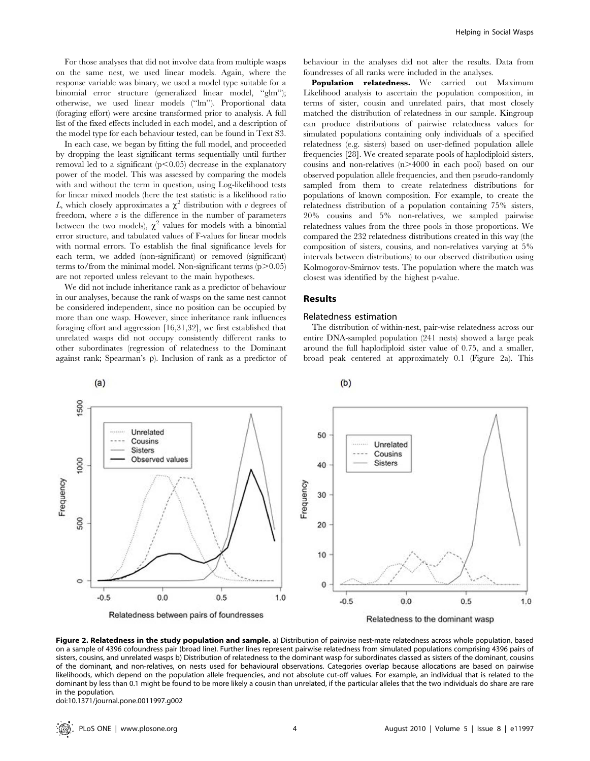For those analyses that did not involve data from multiple wasps on the same nest, we used linear models. Again, where the response variable was binary, we used a model type suitable for a binomial error structure (generalized linear model, ''glm''); otherwise, we used linear models (''lm''). Proportional data (foraging effort) were arcsine transformed prior to analysis. A full list of the fixed effects included in each model, and a description of the model type for each behaviour tested, can be found in Text S3.

In each case, we began by fitting the full model, and proceeded by dropping the least significant terms sequentially until further removal led to a significant  $(p<0.05)$  decrease in the explanatory power of the model. This was assessed by comparing the models with and without the term in question, using Log-likelihood tests for linear mixed models (here the test statistic is a likelihood ratio L, which closely approximates a  $\chi^2$  distribution with v degrees of freedom, where  $v$  is the difference in the number of parameters between the two models),  $\chi^2$  values for models with a binomial error structure, and tabulated values of F-values for linear models with normal errors. To establish the final significance levels for each term, we added (non-significant) or removed (significant) terms to/from the minimal model. Non-significant terms  $(p>0.05)$ are not reported unless relevant to the main hypotheses.

We did not include inheritance rank as a predictor of behaviour in our analyses, because the rank of wasps on the same nest cannot be considered independent, since no position can be occupied by more than one wasp. However, since inheritance rank influences foraging effort and aggression [16,31,32], we first established that unrelated wasps did not occupy consistently different ranks to other subordinates (regression of relatedness to the Dominant against rank; Spearman's  $\rho$ ). Inclusion of rank as a predictor of behaviour in the analyses did not alter the results. Data from foundresses of all ranks were included in the analyses.

Population relatedness. We carried out Maximum Likelihood analysis to ascertain the population composition, in terms of sister, cousin and unrelated pairs, that most closely matched the distribution of relatedness in our sample. Kingroup can produce distributions of pairwise relatedness values for simulated populations containing only individuals of a specified relatedness (e.g. sisters) based on user-defined population allele frequencies [28]. We created separate pools of haplodiploid sisters, cousins and non-relatives  $(n>4000$  in each pool) based on our observed population allele frequencies, and then pseudo-randomly sampled from them to create relatedness distributions for populations of known composition. For example, to create the relatedness distribution of a population containing 75% sisters, 20% cousins and 5% non-relatives, we sampled pairwise relatedness values from the three pools in those proportions. We compared the 232 relatedness distributions created in this way (the composition of sisters, cousins, and non-relatives varying at 5% intervals between distributions) to our observed distribution using Kolmogorov-Smirnov tests. The population where the match was closest was identified by the highest p-value.

#### Results

#### Relatedness estimation

The distribution of within-nest, pair-wise relatedness across our entire DNA-sampled population (241 nests) showed a large peak around the full haplodiploid sister value of 0.75, and a smaller, broad peak centered at approximately 0.1 (Figure 2a). This



Figure 2. Relatedness in the study population and sample. a) Distribution of pairwise nest-mate relatedness across whole population, based on a sample of 4396 cofoundress pair (broad line). Further lines represent pairwise relatedness from simulated populations comprising 4396 pairs of sisters, cousins, and unrelated wasps b) Distribution of relatedness to the dominant wasp for subordinates classed as sisters of the dominant, cousins of the dominant, and non-relatives, on nests used for behavioural observations. Categories overlap because allocations are based on pairwise likelihoods, which depend on the population allele frequencies, and not absolute cut-off values. For example, an individual that is related to the dominant by less than 0.1 might be found to be more likely a cousin than unrelated, if the particular alleles that the two individuals do share are rare in the population.

doi:10.1371/journal.pone.0011997.g002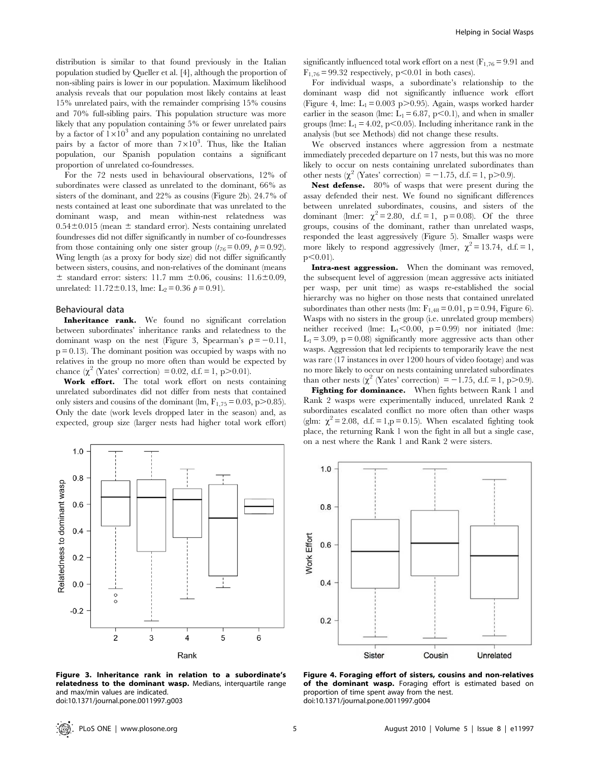distribution is similar to that found previously in the Italian population studied by Queller et al. [4], although the proportion of non-sibling pairs is lower in our population. Maximum likelihood analysis reveals that our population most likely contains at least 15% unrelated pairs, with the remainder comprising 15% cousins and 70% full-sibling pairs. This population structure was more likely that any population containing 5% or fewer unrelated pairs by a factor of  $1\times10^3$  and any population containing no unrelated pairs by a factor of more than  $7 \times 10^3$ . Thus, like the Italian population, our Spanish population contains a significant proportion of unrelated co-foundresses.

For the 72 nests used in behavioural observations, 12% of subordinates were classed as unrelated to the dominant, 66% as sisters of the dominant, and 22% as cousins (Figure 2b). 24.7% of nests contained at least one subordinate that was unrelated to the dominant wasp, and mean within-nest relatedness was  $0.54\pm0.015$  (mean  $\pm$  standard error). Nests containing unrelated foundresses did not differ significantly in number of co-foundresses from those containing only one sister group  $(t_{76}=0.09, p=0.92)$ . Wing length (as a proxy for body size) did not differ significantly between sisters, cousins, and non-relatives of the dominant (means  $\pm$  standard error: sisters: 11.7 mm  $\pm 0.06$ , cousins: 11.6 $\pm 0.09$ , unrelated: 11.72 $\pm$ 0.13, lme: L<sub>2</sub>= 0.36  $p$ = 0.91).

#### Behavioural data

Inheritance rank. We found no significant correlation between subordinates' inheritance ranks and relatedness to the dominant wasp on the nest (Figure 3, Spearman's  $\rho = -0.11$ ,  $p = 0.13$ ). The dominant position was occupied by wasps with no relatives in the group no more often than would be expected by chance  $(\chi^2$  (Yates' correction) = 0.02, d.f. = 1, p>0.01).

Work effort. The total work effort on nests containing unrelated subordinates did not differ from nests that contained only sisters and cousins of the dominant  $(Im, F_{1,75} = 0.03, p > 0.85)$ . Only the date (work levels dropped later in the season) and, as expected, group size (larger nests had higher total work effort)



Figure 3. Inheritance rank in relation to a subordinate's relatedness to the dominant wasp. Medians, interquartile range and max/min values are indicated. doi:10.1371/journal.pone.0011997.g003

significantly influenced total work effort on a nest  $(F_{1,76} = 9.91$  and  $F_{1.76} = 99.32$  respectively, p $< 0.01$  in both cases).

For individual wasps, a subordinate's relationship to the dominant wasp did not significantly influence work effort (Figure 4, lme:  $L_1 = 0.003$  p $> 0.95$ ). Again, wasps worked harder earlier in the season (lme:  $L_1 = 6.87$ , p $\leq 0.1$ ), and when in smaller groups (lme:  $L_1 = 4.02$ , p $\leq 0.05$ ). Including inheritance rank in the analysis (but see Methods) did not change these results.

We observed instances where aggression from a nestmate immediately preceded departure on 17 nests, but this was no more likely to occur on nests containing unrelated subordinates than other nests ( $\chi^2$  (Yates' correction) = -1.75, d.f. = 1, p. > 0.9).

Nest defense. 80% of wasps that were present during the assay defended their nest. We found no significant differences between unrelated subordinates, cousins, and sisters of the dominant (lmer:  $\chi^2 = 2.80$ , d.f. = 1, p = 0.08). Of the three groups, cousins of the dominant, rather than unrelated wasps, responded the least aggressively (Figure 5). Smaller wasps were more likely to respond aggressively (lmer,  $\chi^2 = 13.74$ , d.f. = 1,  $p<0.01$ ).

Intra-nest aggression. When the dominant was removed, the subsequent level of aggression (mean aggressive acts initiated per wasp, per unit time) as wasps re-established the social hierarchy was no higher on those nests that contained unrelated subordinates than other nests (lm:  $F_{1,48} = 0.01$ , p = 0.94, Figure 6). Wasps with no sisters in the group (i.e. unrelated group members) neither received (lme:  $L_1$ <0.00, p = 0.99) nor initiated (lme:  $L_1 = 3.09$ ,  $p = 0.08$ ) significantly more aggressive acts than other wasps. Aggression that led recipients to temporarily leave the nest was rare (17 instances in over 1200 hours of video footage) and was no more likely to occur on nests containing unrelated subordinates than other nests  $\chi^2$  (Yates' correction) = -1.75, d.f. = 1, p. > 0.9).

Fighting for dominance. When fights between Rank 1 and Rank 2 wasps were experimentally induced, unrelated Rank 2 subordinates escalated conflict no more often than other wasps (glm:  $\chi^2 = 2.08$ , d.f. = 1,p = 0.15). When escalated fighting took place, the returning Rank 1 won the fight in all but a single case, on a nest where the Rank 1 and Rank 2 were sisters.



Figure 4. Foraging effort of sisters, cousins and non-relatives of the dominant wasp. Foraging effort is estimated based on proportion of time spent away from the nest. doi:10.1371/journal.pone.0011997.g004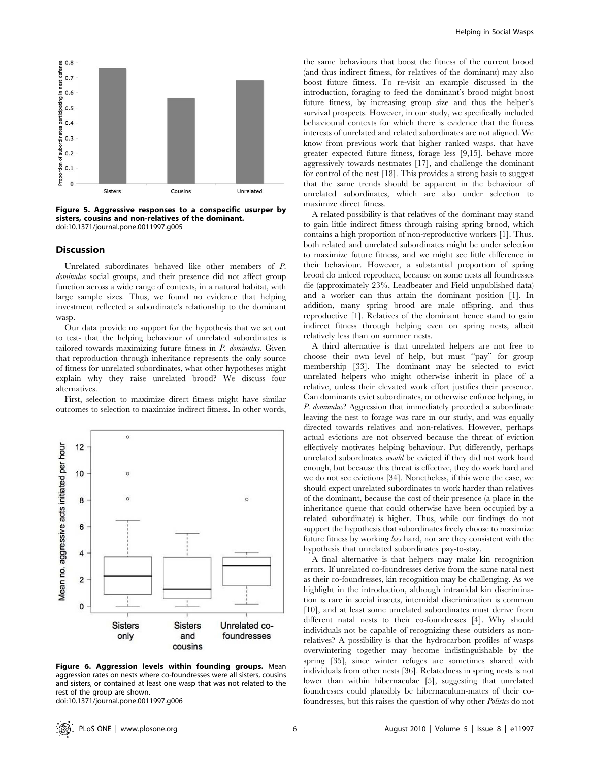

Figure 5. Aggressive responses to a conspecific usurper by sisters, cousins and non-relatives of the dominant. doi:10.1371/journal.pone.0011997.g005

#### Discussion

Unrelated subordinates behaved like other members of P. dominulus social groups, and their presence did not affect group function across a wide range of contexts, in a natural habitat, with large sample sizes. Thus, we found no evidence that helping investment reflected a subordinate's relationship to the dominant wasp.

Our data provide no support for the hypothesis that we set out to test- that the helping behaviour of unrelated subordinates is tailored towards maximizing future fitness in P. dominulus. Given that reproduction through inheritance represents the only source of fitness for unrelated subordinates, what other hypotheses might explain why they raise unrelated brood? We discuss four alternatives.

First, selection to maximize direct fitness might have similar outcomes to selection to maximize indirect fitness. In other words,



Figure 6. Aggression levels within founding groups. Mean aggression rates on nests where co-foundresses were all sisters, cousins and sisters, or contained at least one wasp that was not related to the rest of the group are shown. doi:10.1371/journal.pone.0011997.g006

the same behaviours that boost the fitness of the current brood (and thus indirect fitness, for relatives of the dominant) may also boost future fitness. To re-visit an example discussed in the introduction, foraging to feed the dominant's brood might boost future fitness, by increasing group size and thus the helper's survival prospects. However, in our study, we specifically included behavioural contexts for which there is evidence that the fitness interests of unrelated and related subordinates are not aligned. We know from previous work that higher ranked wasps, that have greater expected future fitness, forage less [9,15], behave more aggressively towards nestmates [17], and challenge the dominant for control of the nest [18]. This provides a strong basis to suggest that the same trends should be apparent in the behaviour of unrelated subordinates, which are also under selection to maximize direct fitness.

A related possibility is that relatives of the dominant may stand to gain little indirect fitness through raising spring brood, which contains a high proportion of non-reproductive workers [1]. Thus, both related and unrelated subordinates might be under selection to maximize future fitness, and we might see little difference in their behaviour. However, a substantial proportion of spring brood do indeed reproduce, because on some nests all foundresses die (approximately 23%, Leadbeater and Field unpublished data) and a worker can thus attain the dominant position [1]. In addition, many spring brood are male offspring, and thus reproductive [1]. Relatives of the dominant hence stand to gain indirect fitness through helping even on spring nests, albeit relatively less than on summer nests.

A third alternative is that unrelated helpers are not free to choose their own level of help, but must ''pay'' for group membership [33]. The dominant may be selected to evict unrelated helpers who might otherwise inherit in place of a relative, unless their elevated work effort justifies their presence. Can dominants evict subordinates, or otherwise enforce helping, in P. dominulus? Aggression that immediately preceded a subordinate leaving the nest to forage was rare in our study, and was equally directed towards relatives and non-relatives. However, perhaps actual evictions are not observed because the threat of eviction effectively motivates helping behaviour. Put differently, perhaps unrelated subordinates would be evicted if they did not work hard enough, but because this threat is effective, they do work hard and we do not see evictions [34]. Nonetheless, if this were the case, we should expect unrelated subordinates to work harder than relatives of the dominant, because the cost of their presence (a place in the inheritance queue that could otherwise have been occupied by a related subordinate) is higher. Thus, while our findings do not support the hypothesis that subordinates freely choose to maximize future fitness by working less hard, nor are they consistent with the hypothesis that unrelated subordinates pay-to-stay.

A final alternative is that helpers may make kin recognition errors. If unrelated co-foundresses derive from the same natal nest as their co-foundresses, kin recognition may be challenging. As we highlight in the introduction, although intranidal kin discrimination is rare in social insects, internidal discrimination is common [10], and at least some unrelated subordinates must derive from different natal nests to their co-foundresses [4]. Why should individuals not be capable of recognizing these outsiders as nonrelatives? A possibility is that the hydrocarbon profiles of wasps overwintering together may become indistinguishable by the spring [35], since winter refuges are sometimes shared with individuals from other nests [36]. Relatedness in spring nests is not lower than within hibernaculae [5], suggesting that unrelated foundresses could plausibly be hibernaculum-mates of their cofoundresses, but this raises the question of why other Polistes do not